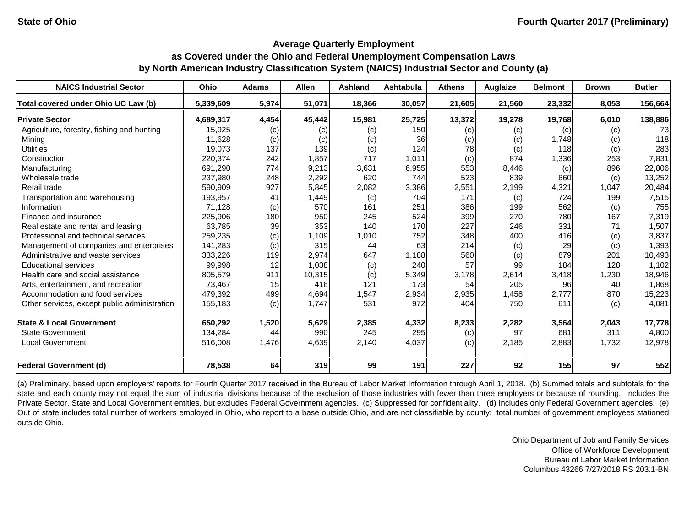#### **Average Quarterly Employment**

# **as Covered under the Ohio and Federal Unemployment Compensation Laws by North American Industry Classification System (NAICS) Industrial Sector and County (a)**

| <b>NAICS Industrial Sector</b>               | Ohio      | <b>Adams</b> | <b>Allen</b> | <b>Ashland</b> | Ashtabula | <b>Athens</b> | Auglaize | <b>Belmont</b> | <b>Brown</b> | <b>Butler</b> |
|----------------------------------------------|-----------|--------------|--------------|----------------|-----------|---------------|----------|----------------|--------------|---------------|
| Total covered under Ohio UC Law (b)          | 5,339,609 | 5,974        | 51,071       | 18,366         | 30,057    | 21,605        | 21,560   | 23,332         | 8,053        | 156,664       |
| <b>Private Sector</b>                        | 4,689,317 | 4,454        | 45,442       | 15,981         | 25,725    | 13,372        | 19,278   | 19,768         | 6,010        | 138,886       |
| Agriculture, forestry, fishing and hunting   | 15,925    | (c)          | (c)          | (c)            | 150       | (c)           | (c)      | (c)            | (c)          | 73            |
| Mining                                       | 11,628    | (c)          | (c)          | (c)            | 36        | (c)           | (c)      | 1,748          | (c)          | 118           |
| <b>Utilities</b>                             | 19,073    | 137          | 139          | (c)            | 124       | 78            | (c)      | 118            | (c)          | 283           |
| Construction                                 | 220,374   | 242          | 1,857        | 717            | 1,011     | (c)           | 874      | 1,336          | 253          | 7,831         |
| Manufacturing                                | 691,290   | 774          | 9,213        | 3,631          | 6,955     | 553           | 8,446    | (c)            | 896          | 22,806        |
| Wholesale trade                              | 237,980   | 248          | 2,292        | 620            | 744       | 523           | 839      | 660            | (c)          | 13,252        |
| Retail trade                                 | 590,909   | 927          | 5,845        | 2,082          | 3,386     | 2,551         | 2,199    | 4,321          | 1,047        | 20,484        |
| Transportation and warehousing               | 193,957   | 41           | 1,449        | (c)            | 704       | 171           | (c)      | 724            | 199          | 7,515         |
| Information                                  | 71,128    | (c)          | 570          | 161            | 251       | 386           | 199      | 562            | (c)          | 755           |
| Finance and insurance                        | 225,906   | 180          | 950          | 245            | 524       | 399           | 270      | 780            | 167          | 7,319         |
| Real estate and rental and leasing           | 63,785    | 39           | 353          | 140            | 170       | 227           | 246      | 331            | 71           | 1,507         |
| Professional and technical services          | 259,235   | (c)          | 1,109        | 1,010          | 752       | 348           | 400      | 416            | (c)          | 3,837         |
| Management of companies and enterprises      | 141,283   | (c)          | 315          | 44             | 63        | 214           | (c)      | 29             | (c)          | 1,393         |
| Administrative and waste services            | 333,226   | 119          | 2,974        | 647            | 1,188     | 560           | (c)      | 879            | 201          | 10,493        |
| <b>Educational services</b>                  | 99,998    | 12           | 1,038        | (c)            | 240       | 57            | 99       | 184            | 128          | 1,102         |
| Health care and social assistance            | 805,579   | 911          | 10,315       | (c)            | 5,349     | 3,178         | 2,614    | 3,418          | 1,230        | 18,946        |
| Arts, entertainment, and recreation          | 73,467    | 15           | 416          | 121            | 173       | 54            | 205      | 96             | 40           | 1,868         |
| Accommodation and food services              | 479,392   | 499          | 4,694        | 1,547          | 2,934     | 2,935         | 1,458    | 2,777          | 870          | 15,223        |
| Other services, except public administration | 155,183   | (c)          | 1,747        | 531            | 972       | 404           | 750      | 611            | (c)          | 4,081         |
| <b>State &amp; Local Government</b>          | 650,292   | 1,520        | 5,629        | 2,385          | 4,332     | 8,233         | 2,282    | 3,564          | 2,043        | 17,778        |
| <b>State Government</b>                      | 134,284   | 44           | 990          | 245            | 295       | (c)           | 97       | 681            | 311          | 4,800         |
| <b>Local Government</b>                      | 516,008   | 1,476        | 4,639        | 2,140          | 4,037     | (c)           | 2,185    | 2,883          | 1,732        | 12,978        |
| <b>Federal Government (d)</b>                | 78,538    | 64           | 319          | 99             | 191       | 227           | 92       | 155            | 97           | 552           |

(a) Preliminary, based upon employers' reports for Fourth Quarter 2017 received in the Bureau of Labor Market Information through April 1, 2018. (b) Summed totals and subtotals for the state and each county may not equal the sum of industrial divisions because of the exclusion of those industries with fewer than three employers or because of rounding. Includes the Private Sector, State and Local Government entities, but excludes Federal Government agencies. (c) Suppressed for confidentiality. (d) Includes only Federal Government agencies. (e) Out of state includes total number of workers employed in Ohio, who report to a base outside Ohio, and are not classifiable by county; total number of government employees stationed outside Ohio.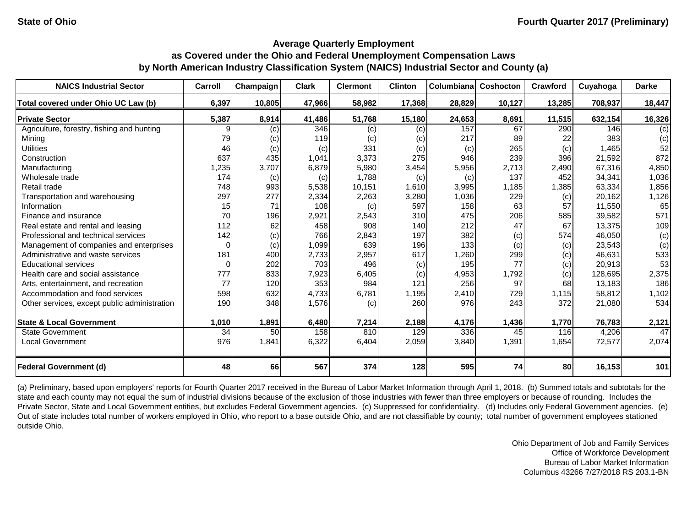| <b>NAICS Industrial Sector</b>               | Carroll  | Champaign | <b>Clark</b> | <b>Clermont</b> | <b>Clinton</b> | Columbiana | <b>Coshocton</b> | Crawford | Cuyahoga | <b>Darke</b> |
|----------------------------------------------|----------|-----------|--------------|-----------------|----------------|------------|------------------|----------|----------|--------------|
| Total covered under Ohio UC Law (b)          | 6,397    | 10,805    | 47,966       | 58,982          | 17,368         | 28,829     | 10,127           | 13,285   | 708,937  | 18,447       |
| <b>Private Sector</b>                        | 5,387    | 8,914     | 41,486       | 51,768          | 15,180         | 24,653     | 8,691            | 11,515   | 632,154  | 16,326       |
| Agriculture, forestry, fishing and hunting   |          | (c)       | 346          | (c)             | (c)            | 157        | 67               | 290      | 146      | (c)          |
| Mining                                       | 79       | (c)       | 119          | (c)             | (c)            | 217        | 89               | 22       | 383      | (c)          |
| <b>Utilities</b>                             | 46       | (c)       | (c)          | 331             | (c)            | (c)        | 265              | (c)      | 1,465    | 52           |
| Construction                                 | 637      | 435       | 1,041        | 3,373           | 275            | 946        | 239              | 396      | 21,592   | 872          |
| Manufacturing                                | 1,235    | 3,707     | 6,879        | 5,980           | 3,454          | 5,956      | 2,713            | 2,490    | 67,316   | 4,850        |
| Wholesale trade                              | 174      | (c)       | (c)          | 1,788           | (c)            | (c)        | 137              | 452      | 34,341   | 1,036        |
| Retail trade                                 | 748      | 993       | 5,538        | 10,151          | 1,610          | 3,995      | 1,185            | 1,385    | 63,334   | 1,856        |
| Transportation and warehousing               | 297      | 277       | 2,334        | 2,263           | 3,280          | 1,036      | 229              | (c)      | 20,162   | 1,126        |
| Information                                  | 15       | 71        | 108          | (c)             | 597            | 158        | 63               | 57       | 11,550   | 65           |
| Finance and insurance                        | 70       | 196       | 2,921        | 2,543           | 310            | 475        | 206              | 585      | 39,582   | 571          |
| Real estate and rental and leasing           | 112      | 62        | 458          | 908             | 140            | 212        | 47               | 67       | 13,375   | 109          |
| Professional and technical services          | 142      | (c)       | 766          | 2,843           | 197            | 382        | (c)              | 574      | 46,050   | (c)          |
| Management of companies and enterprises      | $\Omega$ | (c)       | 1,099        | 639             | 196            | 133        | (c)              | (c)      | 23,543   | (c)          |
| Administrative and waste services            | 181      | 400       | 2,733        | 2,957           | 617            | 1,260      | 299              | (c)      | 46,631   | 533          |
| <b>Educational services</b>                  | $\Omega$ | 202       | 703          | 496             | (c)            | 195        | 77               | (c)      | 20,913   | 53           |
| Health care and social assistance            | 777      | 833       | 7,923        | 6,405           | (c)            | 4,953      | 1,792            | (c)      | 128,695  | 2,375        |
| Arts, entertainment, and recreation          | 77       | 120       | 353          | 984             | 121            | 256        | 97               | 68       | 13,183   | 186          |
| Accommodation and food services              | 598      | 632       | 4,733        | 6,781           | 1,195          | 2,410      | 729              | 1,115    | 58,812   | 1,102        |
| Other services, except public administration | 190      | 348       | 1,576        | (c)             | 260            | 976        | 243              | 372      | 21,080   | 534          |
| <b>State &amp; Local Government</b>          | 1,010    | 1,891     | 6,480        | 7,214           | 2,188          | 4,176      | 1,436            | 1,770    | 76,783   | 2,121        |
| <b>State Government</b>                      | 34       | 50        | 158          | 810             | 129            | 336        | 45               | 116      | 4,206    | 47           |
| <b>Local Government</b>                      | 976      | 1,841     | 6,322        | 6,404           | 2,059          | 3,840      | 1,391            | 1,654    | 72,577   | 2,074        |
| <b>Federal Government (d)</b>                | 48       | 66        | 567          | 374             | 128            | 595        | 74               | 80       | 16,153   | 101          |

(a) Preliminary, based upon employers' reports for Fourth Quarter 2017 received in the Bureau of Labor Market Information through April 1, 2018. (b) Summed totals and subtotals for the state and each county may not equal the sum of industrial divisions because of the exclusion of those industries with fewer than three employers or because of rounding. Includes the Private Sector, State and Local Government entities, but excludes Federal Government agencies. (c) Suppressed for confidentiality. (d) Includes only Federal Government agencies. (e) Out of state includes total number of workers employed in Ohio, who report to a base outside Ohio, and are not classifiable by county; total number of government employees stationed outside Ohio.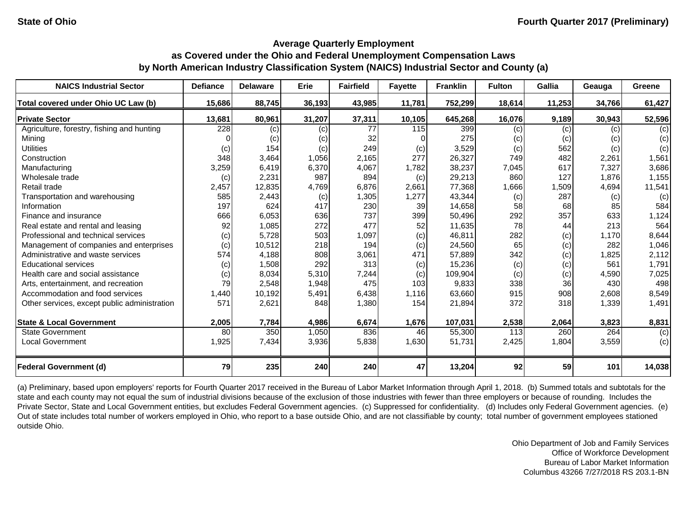| <b>NAICS Industrial Sector</b>               | <b>Defiance</b> | <b>Delaware</b> | Erie   | <b>Fairfield</b> | <b>Fayette</b> | <b>Franklin</b> | <b>Fulton</b> | Gallia | Geauga | Greene |
|----------------------------------------------|-----------------|-----------------|--------|------------------|----------------|-----------------|---------------|--------|--------|--------|
| Total covered under Ohio UC Law (b)          | 15,686          | 88,745          | 36,193 | 43,985           | 11,781         | 752,299         | 18,614        | 11,253 | 34,766 | 61,427 |
| <b>Private Sector</b>                        | 13,681          | 80,961          | 31,207 | 37,311           | 10,105         | 645,268         | 16,076        | 9,189  | 30,943 | 52,596 |
| Agriculture, forestry, fishing and hunting   | 228             | (c)             | (c)    | 77               | 115            | 399             | (c)           | (c)    | (c)    | (c)    |
| Mining                                       |                 | (c)             | (c)    | 32               |                | 275             | (c)           | (c)    | (c)    | (c)    |
| <b>Utilities</b>                             | (c)             | 154             | (c)    | 249              | (c)            | 3,529           | (c)           | 562    | (c)    | (c)    |
| Construction                                 | 348             | 3,464           | 1,056  | 2,165            | 277            | 26,327          | 749           | 482    | 2,261  | 1,561  |
| Manufacturing                                | 3,259           | 6,419           | 6,370  | 4,067            | 1,782          | 38,237          | 7,045         | 617    | 7,327  | 3,686  |
| Wholesale trade                              | (c)             | 2,231           | 987    | 894              | (c)            | 29,213          | 860           | 127    | 1,876  | 1,155  |
| Retail trade                                 | 2,457           | 12,835          | 4,769  | 6,876            | 2,661          | 77,368          | 1,666         | 1,509  | 4,694  | 11,541 |
| Transportation and warehousing               | 585             | 2,443           | (c)    | 1,305            | 1,277          | 43,344          | (c)           | 287    | (c)    | (c)    |
| Information                                  | 197             | 624             | 417    | 230              | 39             | 14,658          | 58            | 68     | 85     | 584    |
| Finance and insurance                        | 666             | 6,053           | 636    | 737              | 399            | 50,496          | 292           | 357    | 633    | 1,124  |
| Real estate and rental and leasing           | 92              | 1,085           | 272    | 477              | 52             | 11,635          | 78            | 44     | 213    | 564    |
| Professional and technical services          | (c)             | 5,728           | 503    | 1,097            | (c)            | 46,811          | 282           | (c)    | 1,170  | 8,644  |
| Management of companies and enterprises      | (c)             | 10,512          | 218    | 194              | (c)            | 24,560          | 65            | (c)    | 282    | 1,046  |
| Administrative and waste services            | 574             | 4,188           | 808    | 3,061            | 471            | 57,889          | 342           | (c)    | 1,825  | 2,112  |
| <b>Educational services</b>                  | (c)             | 1,508           | 292    | 313              | (c)            | 15,236          | (c)           | (c)    | 561    | 1,791  |
| Health care and social assistance            | (c)             | 8,034           | 5,310  | 7,244            | (c)            | 109,904         | (c)           | (c)    | 4,590  | 7,025  |
| Arts, entertainment, and recreation          | 79              | 2,548           | 1,948  | 475              | 103            | 9,833           | 338           | 36     | 430    | 498    |
| Accommodation and food services              | 1,440           | 10,192          | 5,491  | 6,438            | 1,116          | 63,660          | 915           | 908    | 2,608  | 8,549  |
| Other services, except public administration | 571             | 2,621           | 848    | 1,380            | 154            | 21,894          | 372           | 318    | 1,339  | 1,491  |
|                                              |                 |                 |        |                  |                |                 |               |        |        |        |
| <b>State &amp; Local Government</b>          | 2,005           | 7,784           | 4,986  | 6,674            | 1,676          | 107,031         | 2,538         | 2,064  | 3,823  | 8,831  |
| <b>State Government</b>                      | 80              | 350             | 1,050  | 836              | 46             | 55,300          | 113           | 260    | 264    | (c)    |
| <b>Local Government</b>                      | 1,925           | 7,434           | 3,936  | 5,838            | 1,630          | 51,731          | 2,425         | 1,804  | 3,559  | (c)    |
| <b>Federal Government (d)</b>                | 79              | 235             | 240    | 240              | 47             | 13,204          | 92            | 59     | 101    | 14,038 |

(a) Preliminary, based upon employers' reports for Fourth Quarter 2017 received in the Bureau of Labor Market Information through April 1, 2018. (b) Summed totals and subtotals for the state and each county may not equal the sum of industrial divisions because of the exclusion of those industries with fewer than three employers or because of rounding. Includes the Private Sector, State and Local Government entities, but excludes Federal Government agencies. (c) Suppressed for confidentiality. (d) Includes only Federal Government agencies. (e) Out of state includes total number of workers employed in Ohio, who report to a base outside Ohio, and are not classifiable by county; total number of government employees stationed outside Ohio.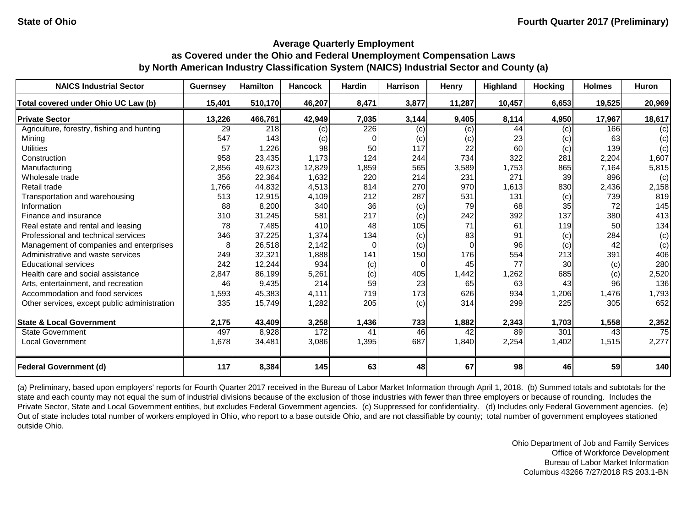| <b>NAICS Industrial Sector</b>               | <b>Guernsey</b> | <b>Hamilton</b> | <b>Hancock</b> | Hardin | <b>Harrison</b> | Henry  | Highland | <b>Hocking</b> | <b>Holmes</b> | Huron  |
|----------------------------------------------|-----------------|-----------------|----------------|--------|-----------------|--------|----------|----------------|---------------|--------|
| Total covered under Ohio UC Law (b)          | 15,401          | 510,170         | 46,207         | 8,471  | 3,877           | 11,287 | 10,457   | 6,653          | 19,525        | 20,969 |
| <b>Private Sector</b>                        | 13,226          | 466,761         | 42,949         | 7,035  | 3,144           | 9,405  | 8,114    | 4,950          | 17,967        | 18,617 |
| Agriculture, forestry, fishing and hunting   | 29              | 218             | (c)            | 226    | (c)             | (c)    | 44       | (c)            | 166           | (c)    |
| Mining                                       | 547             | 143             | (c)            | 0      | (c)             | (c)    | 23       | (c)            | 63            | (c)    |
| <b>Utilities</b>                             | 57              | 1,226           | 98             | 50     | 117             | 22     | 60       | (c)            | 139           | (c)    |
| Construction                                 | 958             | 23,435          | 1,173          | 124    | 244             | 734    | 322      | 281            | 2,204         | 1,607  |
| Manufacturing                                | 2,856           | 49,623          | 12,829         | 1,859  | 565             | 3,589  | 1,753    | 865            | 7,164         | 5,815  |
| Wholesale trade                              | 356             | 22,364          | 1,632          | 220    | 214             | 231    | 271      | 39             | 896           | (c)    |
| Retail trade                                 | 1,766           | 44,832          | 4,513          | 814    | 270             | 970    | 1,613    | 830            | 2,436         | 2,158  |
| Transportation and warehousing               | 513             | 12,915          | 4,109          | 212    | 287             | 531    | 131      | (c)            | 739           | 819    |
| Information                                  | 88              | 8,200           | 340            | 36     | (c)             | 79     | 68       | 35             | 72            | 145    |
| Finance and insurance                        | 310             | 31,245          | 581            | 217    | (c)             | 242    | 392      | 137            | 380           | 413    |
| Real estate and rental and leasing           | 78              | 7,485           | 410            | 48     | 105             | 71     | 61       | 119            | 50            | 134    |
| Professional and technical services          | 346             | 37,225          | 1,374          | 134    | (c)             | 83     | 91       | (c)            | 284           | (c)    |
| Management of companies and enterprises      |                 | 26,518          | 2,142          | O      | (c)             |        | 96       | (c)            | 42            | (c)    |
| Administrative and waste services            | 249             | 32,321          | 1,888          | 141    | 150             | 176    | 554      | 213            | 391           | 406    |
| <b>Educational services</b>                  | 242             | 12,244          | 934            | (c)    | 0               | 45     | 77       | 30             | (c)           | 280    |
| Health care and social assistance            | 2,847           | 86,199          | 5,261          | (c)    | 405             | 1,442  | 1,262    | 685            | (c)           | 2,520  |
| Arts, entertainment, and recreation          | 46              | 9,435           | 214            | 59     | 23              | 65     | 63       | 43             | 96            | 136    |
| Accommodation and food services              | 1,593           | 45,383          | 4,111          | 719    | 173             | 626    | 934      | 1,206          | 1,476         | 1,793  |
| Other services, except public administration | 335             | 15,749          | 1,282          | 205    | (c)             | 314    | 299      | 225            | 305           | 652    |
| <b>State &amp; Local Government</b>          | 2,175           | 43,409          | 3,258          | 1,436  | 733             | 1,882  | 2,343    | 1,703          | 1,558         | 2,352  |
| <b>State Government</b>                      | 497             | 8,928           | 172            | 41     | 46              | 42     | 89       | 301            | 43            | 75     |
| <b>Local Government</b>                      | 1,678           | 34,481          | 3,086          | 1,395  | 687             | 1,840  | 2,254    | 1,402          | 1,515         | 2,277  |
| <b>Federal Government (d)</b>                | 117             | 8,384           | 145            | 63     | 48              | 67     | 98       | 46             | 59            | 140    |

(a) Preliminary, based upon employers' reports for Fourth Quarter 2017 received in the Bureau of Labor Market Information through April 1, 2018. (b) Summed totals and subtotals for the state and each county may not equal the sum of industrial divisions because of the exclusion of those industries with fewer than three employers or because of rounding. Includes the Private Sector, State and Local Government entities, but excludes Federal Government agencies. (c) Suppressed for confidentiality. (d) Includes only Federal Government agencies. (e) Out of state includes total number of workers employed in Ohio, who report to a base outside Ohio, and are not classifiable by county; total number of government employees stationed outside Ohio.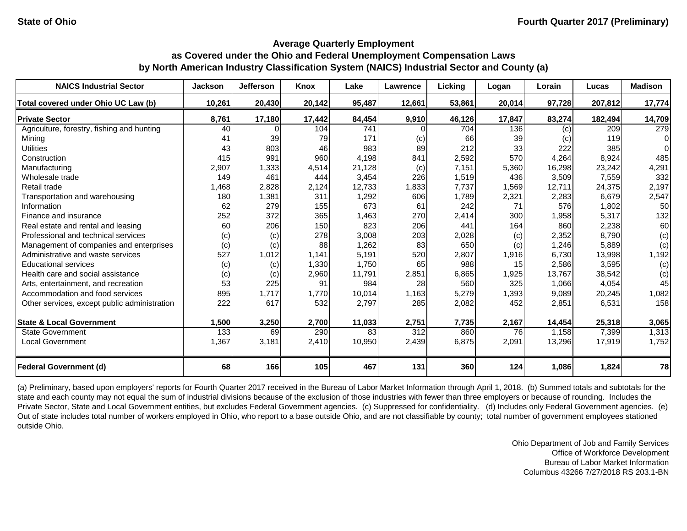| <b>NAICS Industrial Sector</b>               | <b>Jackson</b> | <b>Jefferson</b> | <b>Knox</b> | Lake   | Lawrence         | Licking | Logan  | Lorain | Lucas   | <b>Madison</b> |
|----------------------------------------------|----------------|------------------|-------------|--------|------------------|---------|--------|--------|---------|----------------|
| Total covered under Ohio UC Law (b)          | 10,261         | 20,430           | 20,142      | 95,487 | 12,661           | 53,861  | 20,014 | 97,728 | 207,812 | 17,774         |
| <b>Private Sector</b>                        | 8,761          | 17,180           | 17,442      | 84,454 | 9,910            | 46,126  | 17,847 | 83,274 | 182,494 | 14,709         |
| Agriculture, forestry, fishing and hunting   | 40             |                  | 104         | 741    |                  | 704     | 136    | (c)    | 209     | 279            |
| Mining                                       | 41             | 39               | 79          | 171    | (c)              | 66      | 39     | (c)    | 119     | $\Omega$       |
| <b>Utilities</b>                             | 43             | 803              | 46          | 983    | 89               | 212     | 33     | 222    | 385     | $\Omega$       |
| Construction                                 | 415            | 991              | 960         | 4,198  | 841              | 2,592   | 570    | 4,264  | 8,924   | 485            |
| Manufacturing                                | 2,907          | 1,333            | 4,514       | 21,128 | (c)              | 7,151   | 5,360  | 16,298 | 23,242  | 4,291          |
| Wholesale trade                              | 149            | 461              | 444         | 3,454  | 226              | 1,519   | 436    | 3,509  | 7,559   | 332            |
| Retail trade                                 | 1,468          | 2,828            | 2,124       | 12,733 | 1,833            | 7,737   | 1,569  | 12,711 | 24,375  | 2,197          |
| Transportation and warehousing               | 180            | 1,381            | 311         | 1,292  | 606              | 1,789   | 2,321  | 2,283  | 6,679   | 2,547          |
| Information                                  | 62             | 279              | 155         | 673    | 61               | 242     | 71     | 576    | 1,802   | 50             |
| Finance and insurance                        | 252            | 372              | 365         | 1,463  | 270              | 2,414   | 300    | 1,958  | 5,317   | 132            |
| Real estate and rental and leasing           | 60             | 206              | 150         | 823    | 206              | 441     | 164    | 860    | 2,238   | 60             |
| Professional and technical services          | (c)            | (c)              | 278         | 3,008  | 203              | 2,028   | (c)    | 2,352  | 8,790   | (c)            |
| Management of companies and enterprises      | (c)            | (c)              | 88          | 1,262  | 83               | 650     | (c)    | 1,246  | 5,889   | (c)            |
| Administrative and waste services            | 527            | 1,012            | 1,141       | 5,191  | 520              | 2,807   | 1,916  | 6,730  | 13,998  | 1,192          |
| <b>Educational services</b>                  | (c)            | (c)              | 1,330       | 1,750  | 65               | 988     | 15     | 2,586  | 3,595   | (c)            |
| Health care and social assistance            | (c)            | (c)              | 2,960       | 11,791 | 2,851            | 6,865   | 1,925  | 13,767 | 38,542  | (c)            |
| Arts, entertainment, and recreation          | 53             | 225              | 91          | 984    | 28               | 560     | 325    | 1,066  | 4,054   | 45             |
| Accommodation and food services              | 895            | 1,717            | 1,770       | 10,014 | 1,163            | 5,279   | 1,393  | 9,089  | 20,245  | 1,082          |
| Other services, except public administration | 222            | 617              | 532         | 2,797  | 285              | 2,082   | 452    | 2,851  | 6,531   | 158            |
| <b>State &amp; Local Government</b>          | 1,500          | 3,250            | 2,700       | 11,033 | 2,751            | 7,735   | 2,167  | 14,454 | 25,318  | 3,065          |
| <b>State Government</b>                      | 133            | 69               | 290         | 83     | $\overline{312}$ | 860     | 76     | 1,158  | 7,399   | 1,313          |
| <b>Local Government</b>                      | 1,367          | 3,181            | 2,410       | 10,950 | 2,439            | 6,875   | 2,091  | 13,296 | 17,919  | 1,752          |
| <b>Federal Government (d)</b>                | 68             | 166              | 105         | 467    | 131              | 360     | 124    | 1,086  | 1,824   | 78             |

(a) Preliminary, based upon employers' reports for Fourth Quarter 2017 received in the Bureau of Labor Market Information through April 1, 2018. (b) Summed totals and subtotals for the state and each county may not equal the sum of industrial divisions because of the exclusion of those industries with fewer than three employers or because of rounding. Includes the Private Sector, State and Local Government entities, but excludes Federal Government agencies. (c) Suppressed for confidentiality. (d) Includes only Federal Government agencies. (e) Out of state includes total number of workers employed in Ohio, who report to a base outside Ohio, and are not classifiable by county; total number of government employees stationed outside Ohio.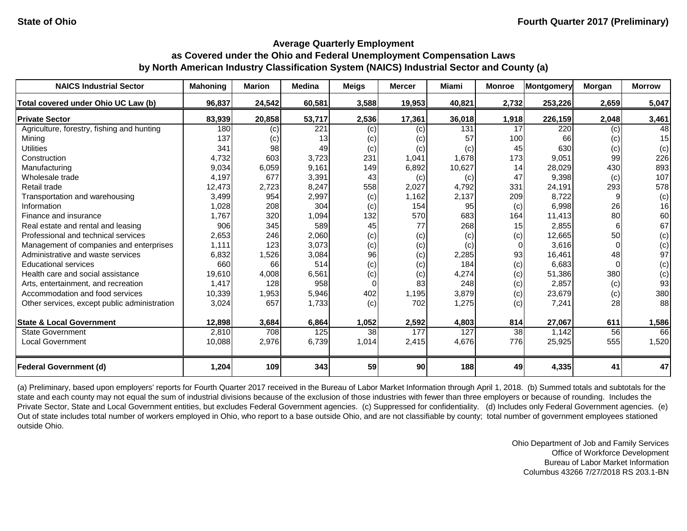| <b>NAICS Industrial Sector</b>               | <b>Mahoning</b> | <b>Marion</b> | <b>Medina</b> | <b>Meigs</b> | <b>Mercer</b> | Miami  | <b>Monroe</b> | <b>Montgomery</b> | <b>Morgan</b> | <b>Morrow</b> |
|----------------------------------------------|-----------------|---------------|---------------|--------------|---------------|--------|---------------|-------------------|---------------|---------------|
| Total covered under Ohio UC Law (b)          | 96,837          | 24,542        | 60,581        | 3,588        | 19,953        | 40,821 | 2,732         | 253,226           | 2,659         | 5,047         |
| <b>Private Sector</b>                        | 83,939          | 20,858        | 53,717        | 2,536        | 17,361        | 36,018 | 1,918         | 226,159           | 2,048         | 3,461         |
| Agriculture, forestry, fishing and hunting   | 180             | (c)           | 221           | (c)          | (c)           | 131    | 17            | 220               | (c)           | 48            |
| Mining                                       | 137             | (c)           | 13            | (c)          | (c)           | 57     | 100           | 66                | (c)           | 15            |
| <b>Utilities</b>                             | 341             | 98            | 49            | (c)          | (c)           | (c)    | 45            | 630               | (c)           | (c)           |
| Construction                                 | 4,732           | 603           | 3,723         | 231          | 1,041         | 1,678  | 173           | 9,051             | 99            | 226           |
| Manufacturing                                | 9,034           | 6,059         | 9,161         | 149          | 6,892         | 10,627 | 14            | 28,029            | 430           | 893           |
| Wholesale trade                              | 4,197           | 677           | 3,391         | 43           | (c)           | (c)    | 47            | 9,398             | (c)           | 107           |
| Retail trade                                 | 12,473          | 2,723         | 8,247         | 558          | 2,027         | 4,792  | 331           | 24,191            | 293           | 578           |
| Transportation and warehousing               | 3,499           | 954           | 2,997         | (c)          | 1,162         | 2,137  | 209           | 8,722             |               | (c)           |
| Information                                  | 1,028           | 208           | 304           | (c)          | 154           | 95     | (c)           | 6,998             | 26            | 16            |
| Finance and insurance                        | 1,767           | 320           | 1,094         | 132          | 570           | 683    | 164           | 11,413            | 80            | 60            |
| Real estate and rental and leasing           | 906             | 345           | 589           | 45           | 77            | 268    | 15            | 2,855             |               | 67            |
| Professional and technical services          | 2,653           | 246           | 2,060         | (c)          | (c)           | (c)    | (c)           | 12,665            | 50            | (c)           |
| Management of companies and enterprises      | 1,111           | 123           | 3,073         | (c)          | (c)           | (c)    | $\Omega$      | 3,616             |               | (c)           |
| Administrative and waste services            | 6,832           | 1,526         | 3,084         | 96           | (c)           | 2,285  | 93            | 16,461            | 48            | 97            |
| <b>Educational services</b>                  | 660             | 66            | 514           | (c)          | (c)           | 184    | (c)           | 6,683             |               | (c)           |
| Health care and social assistance            | 19,610          | 4,008         | 6,561         | (c)          | (c)           | 4,274  | (c)           | 51,386            | 380           | (c)           |
| Arts, entertainment, and recreation          | 1,417           | 128           | 958           | $\Omega$     | 83            | 248    | (c)           | 2,857             | (c)           | 93            |
| Accommodation and food services              | 10,339          | 1,953         | 5,946         | 402          | 1,195         | 3,879  | (c)           | 23,679            | (c)           | 380           |
| Other services, except public administration | 3,024           | 657           | 1,733         | (c)          | 702           | 1,275  | (c)           | 7,241             | 28            | 88            |
| <b>State &amp; Local Government</b>          | 12,898          | 3,684         | 6,864         | 1,052        | 2,592         | 4,803  | 814           | 27,067            | 611           | 1,586         |
| <b>State Government</b>                      | 2,810           | 708           | 125           | 38           | 177           | 127    | 38            | 1,142             | 56            | 66            |
| <b>Local Government</b>                      | 10,088          | 2,976         | 6,739         | 1,014        | 2,415         | 4,676  | 776           | 25,925            | 555           | 1,520         |
| <b>Federal Government (d)</b>                | 1,204           | 109           | 343           | 59           | 90            | 188    | 49            | 4,335             | 41            | 47            |

(a) Preliminary, based upon employers' reports for Fourth Quarter 2017 received in the Bureau of Labor Market Information through April 1, 2018. (b) Summed totals and subtotals for the state and each county may not equal the sum of industrial divisions because of the exclusion of those industries with fewer than three employers or because of rounding. Includes the Private Sector, State and Local Government entities, but excludes Federal Government agencies. (c) Suppressed for confidentiality. (d) Includes only Federal Government agencies. (e) Out of state includes total number of workers employed in Ohio, who report to a base outside Ohio, and are not classifiable by county; total number of government employees stationed outside Ohio.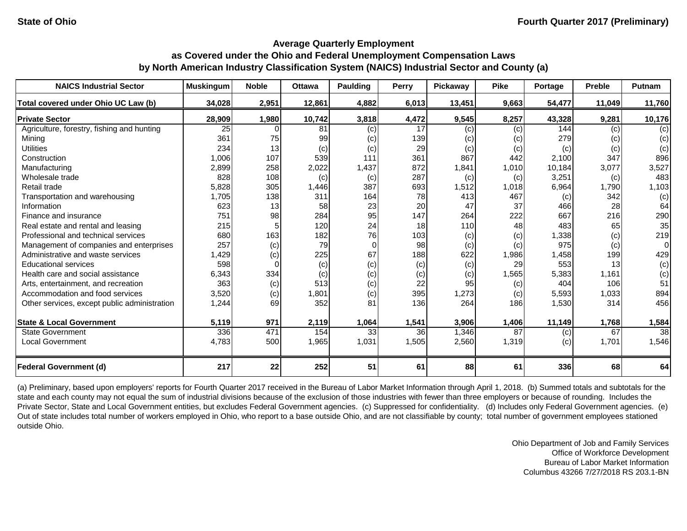| <b>NAICS Industrial Sector</b>               | <b>Muskingum</b> | <b>Noble</b> | <b>Ottawa</b> | <b>Paulding</b> | <b>Perry</b> | Pickaway | <b>Pike</b> | <b>Portage</b> | <b>Preble</b> | Putnam          |
|----------------------------------------------|------------------|--------------|---------------|-----------------|--------------|----------|-------------|----------------|---------------|-----------------|
| Total covered under Ohio UC Law (b)          | 34,028           | 2,951        | 12,861        | 4,882           | 6,013        | 13,451   | 9,663       | 54,477         | 11,049        | 11,760          |
| <b>Private Sector</b>                        | 28,909           | 1,980        | 10,742        | 3,818           | 4,472        | 9,545    | 8,257       | 43,328         | 9,281         | 10,176          |
| Agriculture, forestry, fishing and hunting   | 25               |              | 81            | (c)             | 17           | (c)      | (c)         | 144            | (c)           | (c)             |
| Mining                                       | 361              | 75           | 99            | (c)             | 139          | (c)      | (c)         | 279            | (c)           | (c)             |
| <b>Utilities</b>                             | 234              | 13           | (c)           | (c)             | 29           | (c)      | (c)         | (c)            | (c)           | (c)             |
| Construction                                 | 1,006            | 107          | 539           | 111             | 361          | 867      | 442         | 2,100          | 347           | 896             |
| Manufacturing                                | 2,899            | 258          | 2,022         | 1,437           | 872          | 1,841    | 1,010       | 10,184         | 3,077         | 3,527           |
| Wholesale trade                              | 828              | 108          | (c)           | (c)             | 287          | (c)      | (c)         | 3,251          | (c)           | 483             |
| Retail trade                                 | 5,828            | 305          | 1,446         | 387             | 693          | 1,512    | 1,018       | 6,964          | 1,790         | 1,103           |
| Transportation and warehousing               | 1,705            | 138          | 311           | 164             | 78           | 413      | 467         | (c)            | 342           | (c)             |
| Information                                  | 623              | 13           | 58            | 23              | 20           | 47       | 37          | 466            | 28            | 64              |
| Finance and insurance                        | 751              | 98           | 284           | 95              | 147          | 264      | 222         | 667            | 216           | 290             |
| Real estate and rental and leasing           | 215              |              | 120           | 24              | 18           | 110      | 48          | 483            | 65            | 35              |
| Professional and technical services          | 680              | 163          | 182           | 76              | 103          | (c)      | (c)         | 1,338          | (c)           | 219             |
| Management of companies and enterprises      | 257              | (c)          | 79            | $\Omega$        | 98           | (c)      | (c)         | 975            | (c)           | 0               |
| Administrative and waste services            | 1,429            | (c)          | 225           | 67              | 188          | 622      | 1,986       | 1,458          | 199           | 429             |
| <b>Educational services</b>                  | 598              |              | (c)           | (c)             | (c)          | (c)      | 29          | 553            | 13            | (c)             |
| Health care and social assistance            | 6,343            | 334          | (c)           | (c)             | (c)          | (c)      | 1,565       | 5,383          | 1,161         | (c)             |
| Arts, entertainment, and recreation          | 363              | (c)          | 513           | (c)             | 22           | 95       | (c)         | 404            | 106           | 51              |
| Accommodation and food services              | 3,520            | (c)          | 1,801         | (c)             | 395          | 1,273    | (c)         | 5,593          | 1,033         | 894             |
| Other services, except public administration | 1,244            | 69           | 352           | 81              | 136          | 264      | 186         | 1,530          | 314           | 456             |
| <b>State &amp; Local Government</b>          | 5,119            | 971          | 2,119         | 1,064           | 1,541        | 3,906    | 1,406       | 11,149         | 1,768         | 1,584           |
| <b>State Government</b>                      | 336              | 471          | 154           | 33              | 36           | 1,346    | 87          | (c)            | 67            | $\overline{38}$ |
| <b>Local Government</b>                      | 4,783            | 500          | 1,965         | 1,031           | 1,505        | 2,560    | 1,319       | (c)            | 1,701         | 1,546           |
| <b>Federal Government (d)</b>                | 217              | 22           | 252           | 51              | 61           | 88       | 61          | 336            | 68            | 64              |

(a) Preliminary, based upon employers' reports for Fourth Quarter 2017 received in the Bureau of Labor Market Information through April 1, 2018. (b) Summed totals and subtotals for the state and each county may not equal the sum of industrial divisions because of the exclusion of those industries with fewer than three employers or because of rounding. Includes the Private Sector, State and Local Government entities, but excludes Federal Government agencies. (c) Suppressed for confidentiality. (d) Includes only Federal Government agencies. (e) Out of state includes total number of workers employed in Ohio, who report to a base outside Ohio, and are not classifiable by county; total number of government employees stationed outside Ohio.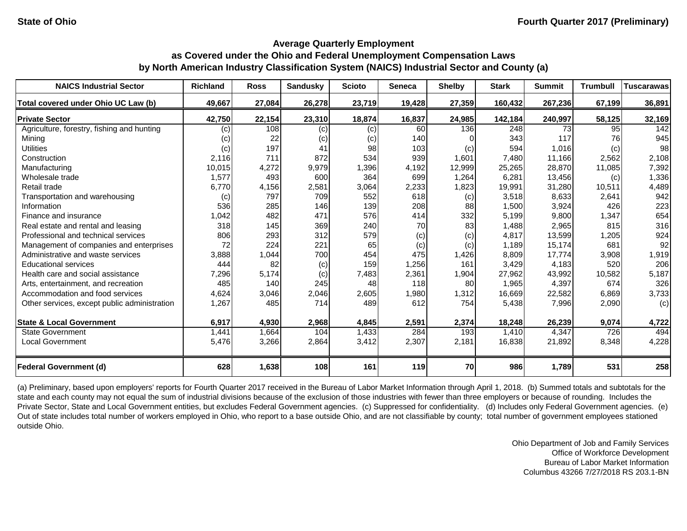| <b>NAICS Industrial Sector</b>               | <b>Richland</b> | <b>Ross</b> | <b>Sandusky</b> | <b>Scioto</b> | <b>Seneca</b> | <b>Shelby</b> | <b>Stark</b> | <b>Summit</b> | <b>Trumbull</b> | <b>Tuscarawas</b> |
|----------------------------------------------|-----------------|-------------|-----------------|---------------|---------------|---------------|--------------|---------------|-----------------|-------------------|
| Total covered under Ohio UC Law (b)          | 49,667          | 27,084      | 26,278          | 23,719        | 19,428        | 27,359        | 160,432      | 267,236       | 67,199          | 36,891            |
| <b>Private Sector</b>                        | 42,750          | 22,154      | 23,310          | 18,874        | 16,837        | 24,985        | 142,184      | 240,997       | 58,125          | 32,169            |
| Agriculture, forestry, fishing and hunting   | (c)             | 108         | (c)             | (c)           | 60            | 136           | 248          | 73            | 95              | 142               |
| Mining                                       | (c)             | 22          | (c)             | (c)           | 140           |               | 343          | 117           | 76              | 945               |
| <b>Utilities</b>                             | (c)             | 197         | 41              | 98            | 103           | (c)           | 594          | 1,016         | (c)             | 98                |
| Construction                                 | 2,116           | 711         | 872             | 534           | 939           | 1,601         | 7,480        | 11,166        | 2,562           | 2,108             |
| Manufacturing                                | 10,015          | 4,272       | 9,979           | 1,396         | 4,192         | 12,999        | 25,265       | 28,870        | 11,085          | 7,392             |
| Wholesale trade                              | 1,577           | 493         | 600             | 364           | 699           | 1,264         | 6,281        | 13,456        | (c)             | 1,336             |
| Retail trade                                 | 6,770           | 4,156       | 2,581           | 3,064         | 2,233         | 1,823         | 19,991       | 31,280        | 10,511          | 4,489             |
| Transportation and warehousing               | (c)             | 797         | 709             | 552           | 618           | (c)           | 3,518        | 8,633         | 2,641           | 942               |
| Information                                  | 536             | 285         | 146             | 139           | 208           | 88            | 1,500        | 3,924         | 426             | 223               |
| Finance and insurance                        | 1,042           | 482         | 471             | 576           | 414           | 332           | 5,199        | 9,800         | 1,347           | 654               |
| Real estate and rental and leasing           | 318             | 145         | 369             | 240           | 70            | 83            | 1,488        | 2,965         | 815             | 316               |
| Professional and technical services          | 806             | 293         | 312             | 579           | (c)           | (c)           | 4,817        | 13,599        | 1,205           | 924               |
| Management of companies and enterprises      | 72              | 224         | 221             | 65            | (c)           | (c)           | 1,189        | 15,174        | 681             | 92                |
| Administrative and waste services            | 3,888           | 1,044       | 700             | 454           | 475           | 1,426         | 8,809        | 17,774        | 3,908           | 1,919             |
| <b>Educational services</b>                  | 444             | 82          | (c)             | 159           | 1,256         | 161           | 3,429        | 4,183         | 520             | 206               |
| Health care and social assistance            | 7,296           | 5,174       | (c)             | 7,483         | 2,361         | 1,904         | 27,962       | 43,992        | 10,582          | 5,187             |
| Arts, entertainment, and recreation          | 485             | 140         | 245             | 48            | 118           | 80            | 1,965        | 4,397         | 674             | 326               |
| Accommodation and food services              | 4,624           | 3,046       | 2,046           | 2,605         | 1,980         | 1,312         | 16,669       | 22,582        | 6,869           | 3,733             |
| Other services, except public administration | 1,267           | 485         | 714             | 489           | 612           | 754           | 5,438        | 7,996         | 2,090           | (c)               |
| <b>State &amp; Local Government</b>          | 6,917           | 4,930       | 2,968           | 4,845         | 2,591         | 2,374         | 18,248       | 26,239        | 9,074           | 4,722             |
| <b>State Government</b>                      | 1,441           | 1,664       | 104             | 1,433         | 284           | 193           | 1,410        | 4,347         | 726             | 494               |
| <b>Local Government</b>                      | 5,476           | 3,266       | 2,864           | 3,412         | 2,307         | 2,181         | 16,838       | 21,892        | 8,348           | 4,228             |
| <b>Federal Government (d)</b>                | 628             | 1,638       | 108             | 161           | 119           | 70            | 986          | 1,789         | 531             | 258               |

(a) Preliminary, based upon employers' reports for Fourth Quarter 2017 received in the Bureau of Labor Market Information through April 1, 2018. (b) Summed totals and subtotals for the state and each county may not equal the sum of industrial divisions because of the exclusion of those industries with fewer than three employers or because of rounding. Includes the Private Sector, State and Local Government entities, but excludes Federal Government agencies. (c) Suppressed for confidentiality. (d) Includes only Federal Government agencies. (e) Out of state includes total number of workers employed in Ohio, who report to a base outside Ohio, and are not classifiable by county; total number of government employees stationed outside Ohio.